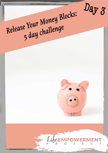

# Release Your Money Blocks: 5 day challenge



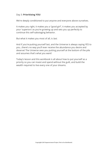## Day 3: **Prioritising YOU**

We're deeply conditioned to put anyone and everyone above ourselves.

It makes you right, it makes you a "good girl", it makes you accepted by your 'superiors' as you're growing up and sets you up perfectly to continue this self-sabotaging behavior.

But what it makes you most of all, is last.

And if you're putting yourself last, and the Universe is always saying YES to you…there's no way you'll ever receive the abundance you desire and deserve! The Universe sees you putting yourself at the bottom of the pile and assumes that's what you want!

Today's lesson and this workbook is all about how to put yourself as a priority so you can invest and spend without the guilt, and build the wealth required to live every one of your dreams.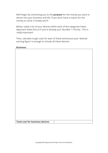We'll begin by connecting you to the **purpose** for the money you want to attract into your business and life. If you don't have a reason for the money to come, it simply won't!

Below, make a list of your desires within each of the categories listed. Approach these lists as if you're already your Number 1 Priority. This is really important!

Then, calculate rough costs for each of these and ensure your 'desired earning figure' is enough to include all these desires!

**Business:**

**Total cost for business desires:**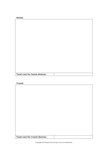**Home:**

| <b>Total cost for home desires:</b> |  |
|-------------------------------------|--|

# **Travel:**

| <b>Total cost for travel desires:</b> |  |
|---------------------------------------|--|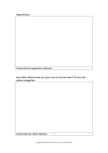**Experiences:**

**Total cost for experience desires:**

**Any other desires that set your soul on fire but don't fit into the above categories:**

**Total costs for other desires:**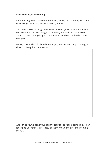# **Stop Waiting, Start Having**

Stop thinking 'when I have more money then I'll…' fill in the blanks! – and start living like you are that version of you now.

You think WHEN you've got more money THEN you'll feel differently but you won't, nothing will change. Not the way you feel, not the way you approach life, not anything – until you consciously make the decision to change it!

Below, create a list of all the little things you can start doing to bring you closer to living that dream now:

As soon as you've done your list (and feel free to keep adding to it as new ideas pop up) schedule at least 3 of them into your diary in the coming month.